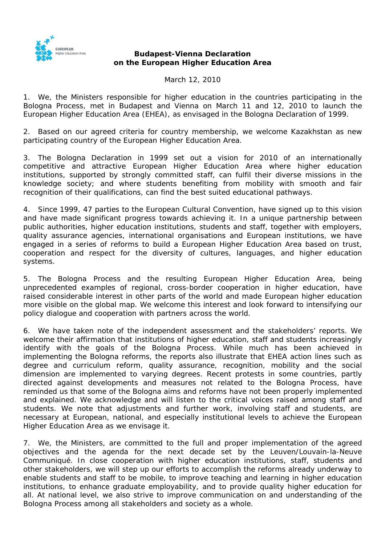

## **Budapest-Vienna Declaration on the European Higher Education Area**

March 12, 2010

1. We, the Ministers responsible for higher education in the countries participating in the Bologna Process, met in Budapest and Vienna on March 11 and 12, 2010 to launch the European Higher Education Area (EHEA), as envisaged in the Bologna Declaration of 1999.

2. Based on our agreed criteria for country membership, we welcome Kazakhstan as new participating country of the European Higher Education Area.

3. The Bologna Declaration in 1999 set out a vision for 2010 of an internationally competitive and attractive European Higher Education Area where higher education institutions, supported by strongly committed staff, can fulfil their diverse missions in the knowledge society; and where students benefiting from mobility with smooth and fair recognition of their qualifications, can find the best suited educational pathways.

4. Since 1999, 47 parties to the European Cultural Convention, have signed up to this vision and have made significant progress towards achieving it. In a unique partnership between public authorities, higher education institutions, students and staff, together with employers, quality assurance agencies, international organisations and European institutions, we have engaged in a series of reforms to build a European Higher Education Area based on trust, cooperation and respect for the diversity of cultures, languages, and higher education systems.

5. The Bologna Process and the resulting European Higher Education Area, being unprecedented examples of regional, cross-border cooperation in higher education, have raised considerable interest in other parts of the world and made European higher education more visible on the global map. We welcome this interest and look forward to intensifying our policy dialogue and cooperation with partners across the world.

6. We have taken note of the independent assessment and the stakeholders' reports. We welcome their affirmation that institutions of higher education, staff and students increasingly identify with the goals of the Bologna Process. While much has been achieved in implementing the Bologna reforms, the reports also illustrate that EHEA action lines such as degree and curriculum reform, quality assurance, recognition, mobility and the social dimension are implemented to varying degrees. Recent protests in some countries, partly directed against developments and measures not related to the Bologna Process, have reminded us that some of the Bologna aims and reforms have not been properly implemented and explained. We acknowledge and will listen to the critical voices raised among staff and students. We note that adjustments and further work, involving staff and students, are necessary at European, national, and especially institutional levels to achieve the European Higher Education Area as we envisage it.

7. We, the Ministers, are committed to the full and proper implementation of the agreed objectives and the agenda for the next decade set by the Leuven/Louvain-la-Neuve Communiqué. In close cooperation with higher education institutions, staff, students and other stakeholders, we will step up our efforts to accomplish the reforms already underway to enable students and staff to be mobile, to improve teaching and learning in higher education institutions, to enhance graduate employability, and to provide quality higher education for all. At national level, we also strive to improve communication on and understanding of the Bologna Process among all stakeholders and society as a whole.